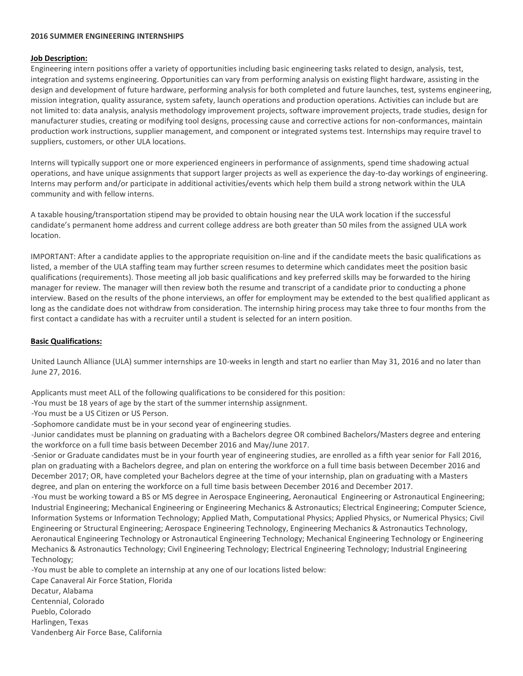## **2016 SUMMER ENGINEERING INTERNSHIPS**

## **Job Description:**

Engineering intern positions offer a variety of opportunities including basic engineering tasks related to design, analysis, test, integration and systems engineering. Opportunities can vary from performing analysis on existing flight hardware, assisting in the design and development of future hardware, performing analysis for both completed and future launches, test, systems engineering, mission integration, quality assurance, system safety, launch operations and production operations. Activities can include but are not limited to: data analysis, analysis methodology improvement projects, software improvement projects, trade studies, design for manufacturer studies, creating or modifying tool designs, processing cause and corrective actions for non-conformances, maintain production work instructions, supplier management, and component or integrated systems test. Internships may require travel to suppliers, customers, or other ULA locations.

Interns will typically support one or more experienced engineers in performance of assignments, spend time shadowing actual operations, and have unique assignments that support larger projects as well as experience the day-to-day workings of engineering. Interns may perform and/or participate in additional activities/events which help them build a strong network within the ULA community and with fellow interns.

A taxable housing/transportation stipend may be provided to obtain housing near the ULA work location if the successful candidate's permanent home address and current college address are both greater than 50 miles from the assigned ULA work location.

IMPORTANT: After a candidate applies to the appropriate requisition on-line and if the candidate meets the basic qualifications as listed, a member of the ULA staffing team may further screen resumes to determine which candidates meet the position basic qualifications (requirements). Those meeting all job basic qualifications and key preferred skills may be forwarded to the hiring manager for review. The manager will then review both the resume and transcript of a candidate prior to conducting a phone interview. Based on the results of the phone interviews, an offer for employment may be extended to the best qualified applicant as long as the candidate does not withdraw from consideration. The internship hiring process may take three to four months from the first contact a candidate has with a recruiter until a student is selected for an intern position.

## **Basic Qualifications:**

United Launch Alliance (ULA) summer internships are 10-weeks in length and start no earlier than May 31, 2016 and no later than June 27, 2016.

Applicants must meet ALL of the following qualifications to be considered for this position:

-You must be 18 years of age by the start of the summer internship assignment.

-You must be a US Citizen or US Person.

-Sophomore candidate must be in your second year of engineering studies.

-Junior candidates must be planning on graduating with a Bachelors degree OR combined Bachelors/Masters degree and entering the workforce on a full time basis between December 2016 and May/June 2017.

-Senior or Graduate candidates must be in your fourth year of engineering studies, are enrolled as a fifth year senior for Fall 2016, plan on graduating with a Bachelors degree, and plan on entering the workforce on a full time basis between December 2016 and December 2017; OR, have completed your Bachelors degree at the time of your internship, plan on graduating with a Masters degree, and plan on entering the workforce on a full time basis between December 2016 and December 2017.

-You must be working toward a BS or MS degree in Aerospace Engineering, Aeronautical Engineering or Astronautical Engineering; Industrial Engineering; Mechanical Engineering or Engineering Mechanics & Astronautics; Electrical Engineering; Computer Science, Information Systems or Information Technology; Applied Math, Computational Physics; Applied Physics, or Numerical Physics; Civil Engineering or Structural Engineering; Aerospace Engineering Technology, Engineering Mechanics & Astronautics Technology, Aeronautical Engineering Technology or Astronautical Engineering Technology; Mechanical Engineering Technology or Engineering Mechanics & Astronautics Technology; Civil Engineering Technology; Electrical Engineering Technology; Industrial Engineering Technology;

-You must be able to complete an internship at any one of our locations listed below:

Cape Canaveral Air Force Station, Florida Decatur, Alabama Centennial, Colorado Pueblo, Colorado Harlingen, Texas Vandenberg Air Force Base, California